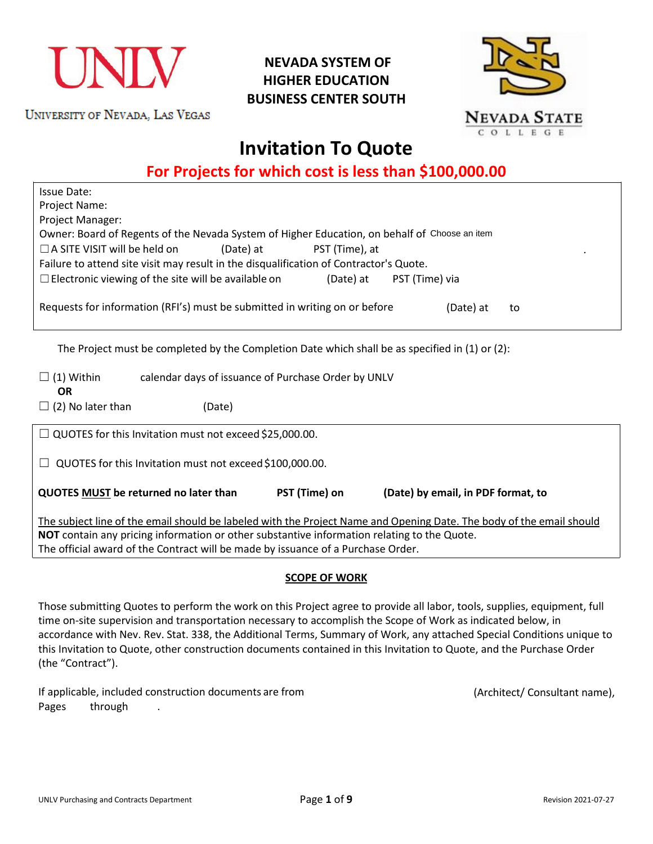

UNIVERSITY OF NEVADA, LAS VEGAS

## **NEVADA SYSTEM OF HIGHER EDUCATION BUSINESS CENTER SOUTH**



# **Invitation To Quote**

**For Projects for which cost is less than \$100,000.00**

| <b>Issue Date:</b><br>Project Name:                                                                                  |  |  |  |  |
|----------------------------------------------------------------------------------------------------------------------|--|--|--|--|
| Project Manager:                                                                                                     |  |  |  |  |
| Owner: Board of Regents of the Nevada System of Higher Education, on behalf of Choose an item                        |  |  |  |  |
| $\Box$ A SITE VISIT will be held on<br>(Date) at<br>PST (Time), at                                                   |  |  |  |  |
| Failure to attend site visit may result in the disqualification of Contractor's Quote.                               |  |  |  |  |
| $\Box$ Electronic viewing of the site will be available on<br>(Date) at<br>PST (Time) via                            |  |  |  |  |
| Requests for information (RFI's) must be submitted in writing on or before<br>(Date) at<br>to                        |  |  |  |  |
| The Project must be completed by the Completion Date which shall be as specified in (1) or (2):                      |  |  |  |  |
| calendar days of issuance of Purchase Order by UNLV<br>$\Box$ (1) Within<br><b>OR</b>                                |  |  |  |  |
| $\Box$ (2) No later than<br>(Date)                                                                                   |  |  |  |  |
| $\Box$ QUOTES for this Invitation must not exceed \$25,000.00.                                                       |  |  |  |  |
| QUOTES for this Invitation must not exceed \$100,000.00.                                                             |  |  |  |  |
| QUOTES MUST be returned no later than<br>PST (Time) on<br>(Date) by email, in PDF format, to                         |  |  |  |  |
| The subject line of the email should be labeled with the Project Name and Opening Date. The body of the email should |  |  |  |  |
| NOT contain any pricing information or other substantive information relating to the Quote.                          |  |  |  |  |
| The official award of the Contract will be made by issuance of a Purchase Order.                                     |  |  |  |  |

## **SCOPE OF WORK**

Those submitting Quotes to perform the work on this Project agree to provide all labor, tools, supplies, equipment, full time on-site supervision and transportation necessary to accomplish the Scope of Work as indicated below, in accordance with Nev. Rev. Stat. 338, the Additional Terms, Summary of Work, any attached Special Conditions unique to this Invitation to Quote, other construction documents contained in this Invitation to Quote, and the Purchase Order (the "Contract").

If applicable, included construction documents are from (Architect/ Consultant name), Pages through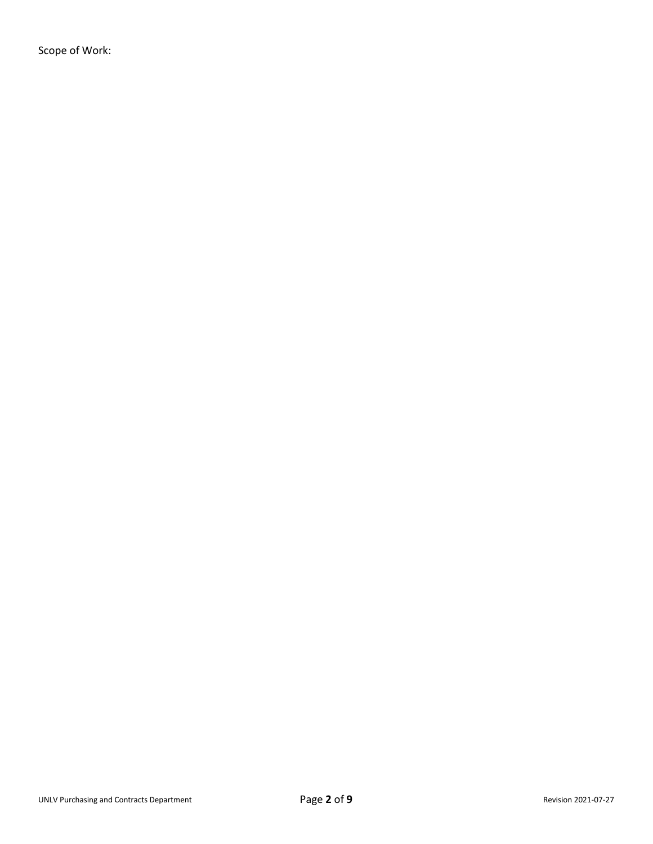Scope of Work: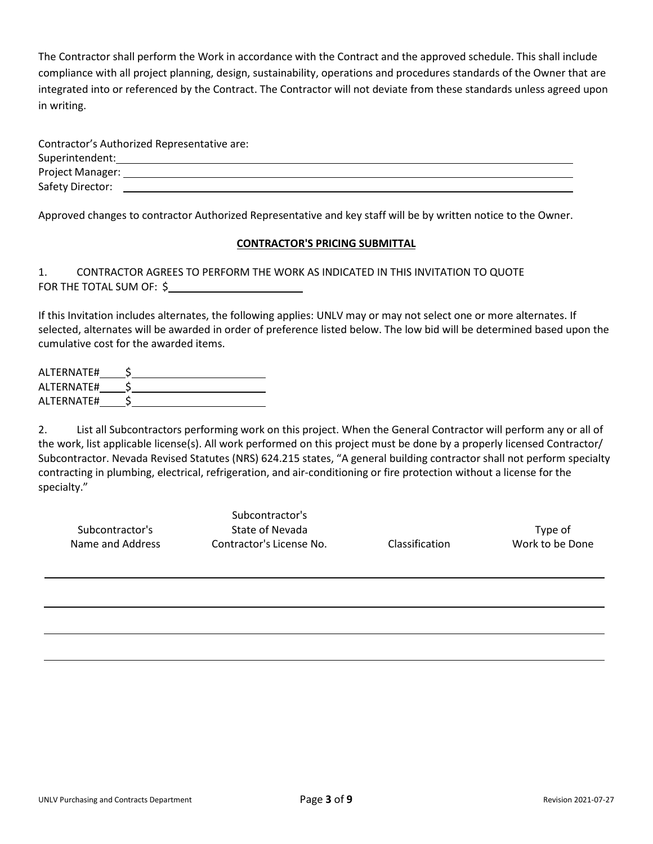The Contractor shall perform the Work in accordance with the Contract and the approved schedule. This shall include compliance with all project planning, design, sustainability, operations and procedures standards of the Owner that are integrated into or referenced by the Contract. The Contractor will not deviate from these standards unless agreed upon in writing.

|                         | Contractor's Authorized Representative are: |  |  |
|-------------------------|---------------------------------------------|--|--|
| Superintendent:         |                                             |  |  |
| <b>Project Manager:</b> |                                             |  |  |
| Safety Director:        |                                             |  |  |

Approved changes to contractor Authorized Representative and key staff will be by written notice to the Owner.

## **CONTRACTOR'S PRICING SUBMITTAL**

## 1. CONTRACTOR AGREES TO PERFORM THE WORK AS INDICATED IN THIS INVITATION TO QUOTE FOR THE TOTAL SUM OF: \$

If this Invitation includes alternates, the following applies: UNLV may or may not select one or more alternates. If selected, alternates will be awarded in order of preference listed below. The low bid will be determined based upon the cumulative cost for the awarded items.

| ALTERNATE# |  |
|------------|--|
| ALTERNATE# |  |
| ALTERNATE# |  |

2. List all Subcontractors performing work on this project. When the General Contractor will perform any or all of the work, list applicable license(s). All work performed on this project must be done by a properly licensed Contractor/ Subcontractor. Nevada Revised Statutes (NRS) 624.215 states, "A general building contractor shall not perform specialty contracting in plumbing, electrical, refrigeration, and air-conditioning or fire protection without a license for the specialty."

|                  | Subcontractor's          |                       |                 |
|------------------|--------------------------|-----------------------|-----------------|
| Subcontractor's  | State of Nevada          |                       | Type of         |
| Name and Address | Contractor's License No. | <b>Classification</b> | Work to be Done |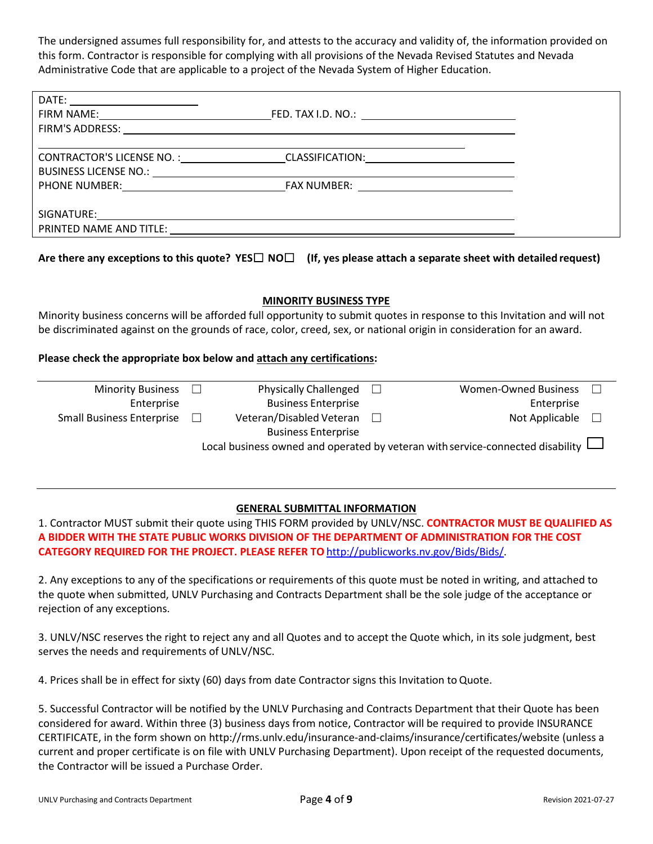The undersigned assumes full responsibility for, and attests to the accuracy and validity of, the information provided on this form. Contractor is responsible for complying with all provisions of the Nevada Revised Statutes and Nevada Administrative Code that are applicable to a project of the Nevada System of Higher Education.

| DATE: ________________________                                                                                                                                                                                                 |                                                         |  |
|--------------------------------------------------------------------------------------------------------------------------------------------------------------------------------------------------------------------------------|---------------------------------------------------------|--|
|                                                                                                                                                                                                                                | FED. TAX I.D. NO.: <u>_____________________________</u> |  |
|                                                                                                                                                                                                                                |                                                         |  |
|                                                                                                                                                                                                                                |                                                         |  |
|                                                                                                                                                                                                                                | CONTRACTOR'S LICENSE NO. : CLASSIFICATION:              |  |
|                                                                                                                                                                                                                                |                                                         |  |
|                                                                                                                                                                                                                                |                                                         |  |
|                                                                                                                                                                                                                                |                                                         |  |
| SIGNATURE: New York Signal Product of the Contract of the Contract of the Contract of the Contract of the Contract of the Contract of the Contract of the Contract of the Contract of the Contract of the Contract of the Cont |                                                         |  |
| PRINTED NAME AND TITLE:                                                                                                                                                                                                        |                                                         |  |

**Are there any exceptions to this quote? YES**☐ **NO**☐ **(If, yes please attach a separate sheet with detailed request)**

## **MINORITY BUSINESS TYPE**

Minority business concerns will be afforded full opportunity to submit quotes in response to this Invitation and will not be discriminated against on the grounds of race, color, creed, sex, or national origin in consideration for an award.

## **Please check the appropriate box below and attach any certifications:**

| <b>Minority Business</b>                                                       | $\perp$ | <b>Physically Challenged</b> | $\Box$ | <b>Women-Owned Business</b> |  |
|--------------------------------------------------------------------------------|---------|------------------------------|--------|-----------------------------|--|
| Enterprise                                                                     |         | <b>Business Enterprise</b>   |        | Enterprise                  |  |
| <b>Small Business Enterprise</b>                                               |         | Veteran/Disabled Veteran     |        | Not Applicable              |  |
|                                                                                |         | <b>Business Enterprise</b>   |        |                             |  |
| Local business owned and operated by veteran with service-connected disability |         |                              |        |                             |  |
|                                                                                |         |                              |        |                             |  |

## **GENERAL SUBMITTAL INFORMATION**

1. Contractor MUST submit their quote using THIS FORM provided by UNLV/NSC. **CONTRACTOR MUST BE QUALIFIED AS A BIDDER WITH THE STATE PUBLIC WORKS DIVISION OF THE DEPARTMENT OF ADMINISTRATION FOR THE COST CATEGORY REQUIRED FOR THE PROJECT. PLEASE REFER TO** [http://publicworks.nv.gov/Bids/Bids/.](http://publicworks.nv.gov/Bids/Bids/)

2. Any exceptions to any of the specifications or requirements of this quote must be noted in writing, and attached to the quote when submitted, UNLV Purchasing and Contracts Department shall be the sole judge of the acceptance or rejection of any exceptions.

3. UNLV/NSC reserves the right to reject any and all Quotes and to accept the Quote which, in its sole judgment, best serves the needs and requirements of UNLV/NSC.

4. Prices shall be in effect for sixty (60) days from date Contractor signs this Invitation to Quote.

5. Successful Contractor will be notified by the UNLV Purchasing and Contracts Department that their Quote has been considered for award. Within three (3) business days from notice, Contractor will be required to provide INSURANCE CERTIFICATE, in the form shown on [http://rms.unlv.edu/insurance-and-claims/insurance/certificates/website \(](http://rms.unlv.edu/insurance-and-claims/insurance/certificates/website)unless a current and proper certificate is on file with UNLV Purchasing Department). Upon receipt of the requested documents, the Contractor will be issued a Purchase Order.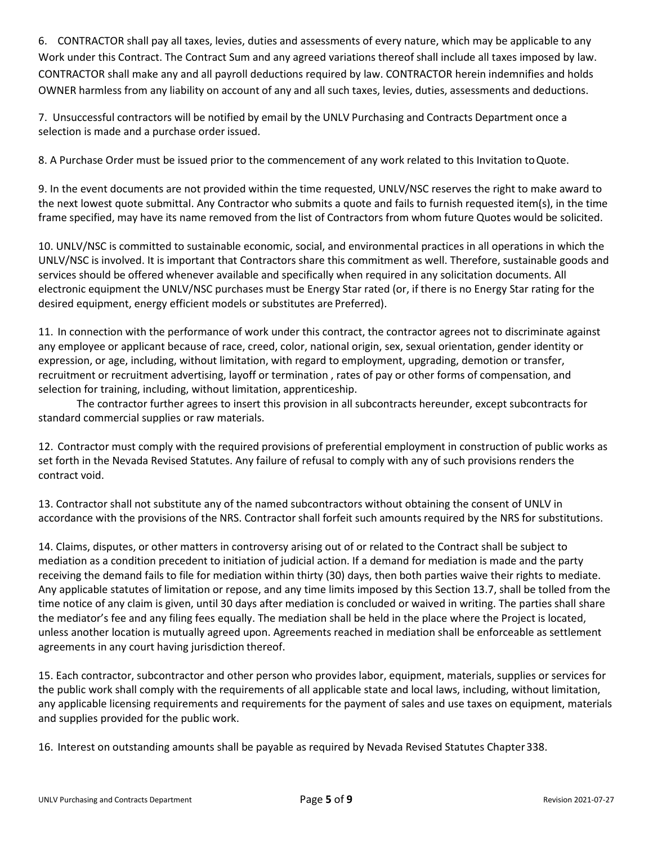6. CONTRACTOR shall pay all taxes, levies, duties and assessments of every nature, which may be applicable to any Work under this Contract. The Contract Sum and any agreed variations thereof shall include all taxes imposed by law. CONTRACTOR shall make any and all payroll deductions required by law. CONTRACTOR herein indemnifies and holds OWNER harmless from any liability on account of any and all such taxes, levies, duties, assessments and deductions.

7. Unsuccessful contractors will be notified by email by the UNLV Purchasing and Contracts Department once a selection is made and a purchase order issued.

8. A Purchase Order must be issued prior to the commencement of any work related to this Invitation toQuote.

9. In the event documents are not provided within the time requested, UNLV/NSC reserves the right to make award to the next lowest quote submittal. Any Contractor who submits a quote and fails to furnish requested item(s), in the time frame specified, may have its name removed from the list of Contractors from whom future Quotes would be solicited.

10. UNLV/NSC is committed to sustainable economic, social, and environmental practices in all operations in which the UNLV/NSC is involved. It is important that Contractors share this commitment as well. Therefore, sustainable goods and services should be offered whenever available and specifically when required in any solicitation documents. All electronic equipment the UNLV/NSC purchases must be Energy Star rated (or, if there is no Energy Star rating for the desired equipment, energy efficient models or substitutes are Preferred).

11. In connection with the performance of work under this contract, the contractor agrees not to discriminate against any employee or applicant because of race, creed, color, national origin, sex, sexual orientation, gender identity or expression, or age, including, without limitation, with regard to employment, upgrading, demotion or transfer, recruitment or recruitment advertising, layoff or termination , rates of pay or other forms of compensation, and selection for training, including, without limitation, apprenticeship.

The contractor further agrees to insert this provision in all subcontracts hereunder, except subcontracts for standard commercial supplies or raw materials.

12. Contractor must comply with the required provisions of preferential employment in construction of public works as set forth in the Nevada Revised Statutes. Any failure of refusal to comply with any of such provisions renders the contract void.

13. Contractor shall not substitute any of the named subcontractors without obtaining the consent of UNLV in accordance with the provisions of the NRS. Contractor shall forfeit such amounts required by the NRS for substitutions.

14. Claims, disputes, or other matters in controversy arising out of or related to the Contract shall be subject to mediation as a condition precedent to initiation of judicial action. If a demand for mediation is made and the party receiving the demand fails to file for mediation within thirty (30) days, then both parties waive their rights to mediate. Any applicable statutes of limitation or repose, and any time limits imposed by this Section 13.7, shall be tolled from the time notice of any claim is given, until 30 days after mediation is concluded or waived in writing. The parties shall share the mediator's fee and any filing fees equally. The mediation shall be held in the place where the Project is located, unless another location is mutually agreed upon. Agreements reached in mediation shall be enforceable as settlement agreements in any court having jurisdiction thereof.

15. Each contractor, subcontractor and other person who provides labor, equipment, materials, supplies or services for the public work shall comply with the requirements of all applicable state and local laws, including, without limitation, any applicable licensing requirements and requirements for the payment of sales and use taxes on equipment, materials and supplies provided for the public work.

16. Interest on outstanding amounts shall be payable as required by Nevada Revised Statutes Chapter338.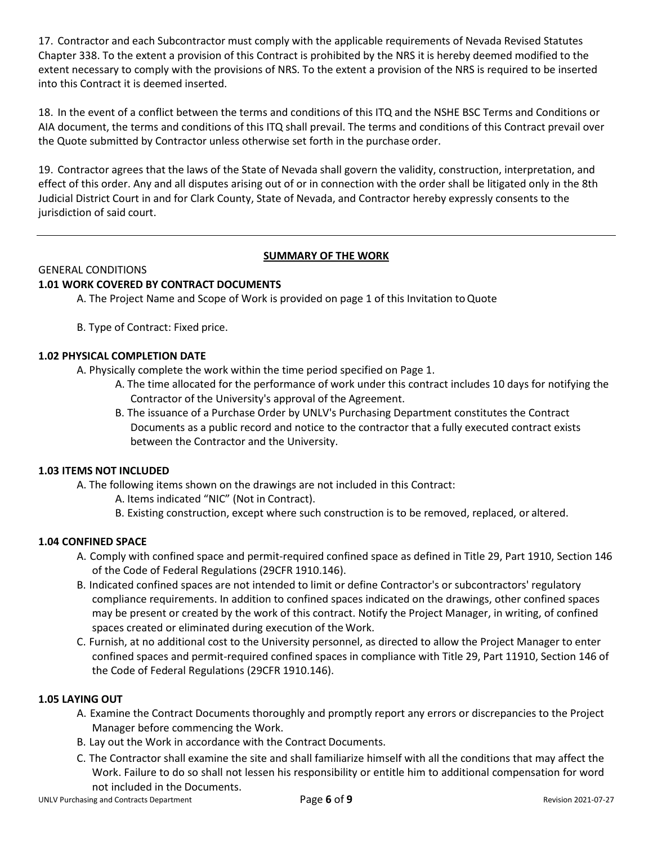17. Contractor and each Subcontractor must comply with the applicable requirements of Nevada Revised Statutes Chapter 338. To the extent a provision of this Contract is prohibited by the NRS it is hereby deemed modified to the extent necessary to comply with the provisions of NRS. To the extent a provision of the NRS is required to be inserted into this Contract it is deemed inserted.

18. In the event of a conflict between the terms and conditions of this ITQ and the NSHE BSC Terms and Conditions or AIA document, the terms and conditions of this ITQ shall prevail. The terms and conditions of this Contract prevail over the Quote submitted by Contractor unless otherwise set forth in the purchase order.

19. Contractor agrees that the laws of the State of Nevada shall govern the validity, construction, interpretation, and effect of this order. Any and all disputes arising out of or in connection with the order shall be litigated only in the 8th Judicial District Court in and for Clark County, State of Nevada, and Contractor hereby expressly consents to the jurisdiction of said court.

## **SUMMARY OF THE WORK**

#### GENERAL CONDITIONS **1.01 WORK COVERED BY CONTRACT DOCUMENTS**

A. The Project Name and Scope of Work is provided on page 1 of this Invitation toQuote

B. Type of Contract: Fixed price.

## **1.02 PHYSICAL COMPLETION DATE**

A. Physically complete the work within the time period specified on Page 1.

- A. The time allocated for the performance of work under this contract includes 10 days for notifying the Contractor of the University's approval of the Agreement.
- B. The issuance of a Purchase Order by UNLV's Purchasing Department constitutes the Contract Documents as a public record and notice to the contractor that a fully executed contract exists between the Contractor and the University.

## **1.03 ITEMS NOT INCLUDED**

A. The following items shown on the drawings are not included in this Contract:

- A. Items indicated "NIC" (Not in Contract).
- B. Existing construction, except where such construction is to be removed, replaced, or altered.

## **1.04 CONFINED SPACE**

- A. Comply with confined space and permit-required confined space as defined in Title 29, Part 1910, Section 146 of the Code of Federal Regulations (29CFR 1910.146).
- B. Indicated confined spaces are not intended to limit or define Contractor's or subcontractors' regulatory compliance requirements. In addition to confined spaces indicated on the drawings, other confined spaces may be present or created by the work of this contract. Notify the Project Manager, in writing, of confined spaces created or eliminated during execution of the Work.
- C. Furnish, at no additional cost to the University personnel, as directed to allow the Project Manager to enter confined spaces and permit-required confined spaces in compliance with Title 29, Part 11910, Section 146 of the Code of Federal Regulations (29CFR 1910.146).

## **1.05 LAYING OUT**

- A. Examine the Contract Documents thoroughly and promptly report any errors or discrepancies to the Project Manager before commencing the Work.
- B. Lay out the Work in accordance with the Contract Documents.
- C. The Contractor shall examine the site and shall familiarize himself with all the conditions that may affect the Work. Failure to do so shall not lessen his responsibility or entitle him to additional compensation for word not included in the Documents.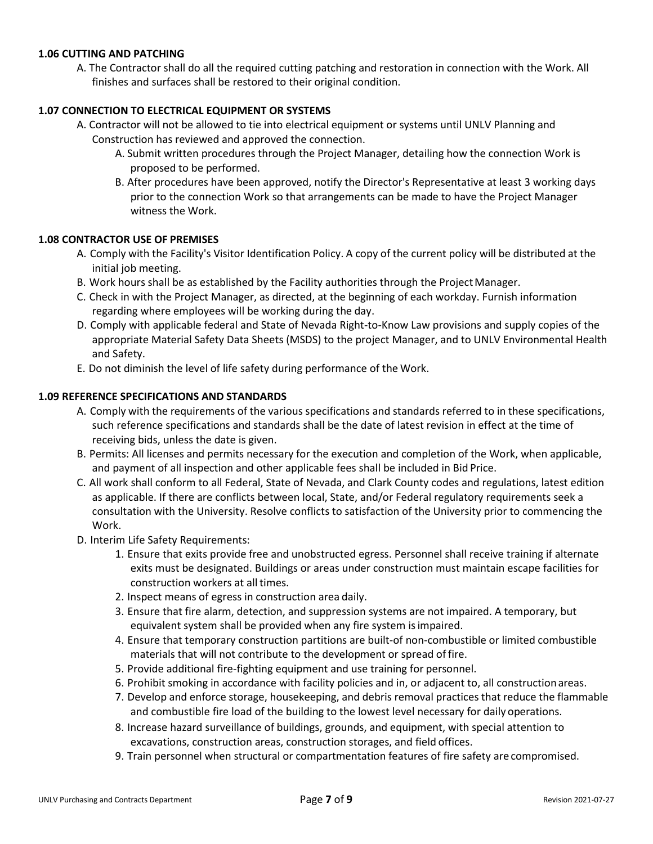## **1.06 CUTTING AND PATCHING**

A. The Contractor shall do all the required cutting patching and restoration in connection with the Work. All finishes and surfaces shall be restored to their original condition.

## **1.07 CONNECTION TO ELECTRICAL EQUIPMENT OR SYSTEMS**

- A. Contractor will not be allowed to tie into electrical equipment or systems until UNLV Planning and Construction has reviewed and approved the connection.
	- A. Submit written procedures through the Project Manager, detailing how the connection Work is proposed to be performed.
	- B. After procedures have been approved, notify the Director's Representative at least 3 working days prior to the connection Work so that arrangements can be made to have the Project Manager witness the Work.

## **1.08 CONTRACTOR USE OF PREMISES**

- A. Comply with the Facility's Visitor Identification Policy. A copy of the current policy will be distributed at the initial job meeting.
- B. Work hours shall be as established by the Facility authorities through the Project Manager.
- C. Check in with the Project Manager, as directed, at the beginning of each workday. Furnish information regarding where employees will be working during the day.
- D. Comply with applicable federal and State of Nevada Right-to-Know Law provisions and supply copies of the appropriate Material Safety Data Sheets (MSDS) to the project Manager, and to UNLV Environmental Health and Safety.
- E. Do not diminish the level of life safety during performance of the Work.

## **1.09 REFERENCE SPECIFICATIONS AND STANDARDS**

- A. Comply with the requirements of the various specifications and standards referred to in these specifications, such reference specifications and standards shall be the date of latest revision in effect at the time of receiving bids, unless the date is given.
- B. Permits: All licenses and permits necessary for the execution and completion of the Work, when applicable, and payment of all inspection and other applicable fees shall be included in Bid Price.
- C. All work shall conform to all Federal, State of Nevada, and Clark County codes and regulations, latest edition as applicable. If there are conflicts between local, State, and/or Federal regulatory requirements seek a consultation with the University. Resolve conflicts to satisfaction of the University prior to commencing the Work.
- D. Interim Life Safety Requirements:
	- 1. Ensure that exits provide free and unobstructed egress. Personnel shall receive training if alternate exits must be designated. Buildings or areas under construction must maintain escape facilities for construction workers at all times.
	- 2. Inspect means of egress in construction area daily.
	- 3. Ensure that fire alarm, detection, and suppression systems are not impaired. A temporary, but equivalent system shall be provided when any fire system is impaired.
	- 4. Ensure that temporary construction partitions are built-of non-combustible or limited combustible materials that will not contribute to the development or spread of fire.
	- 5. Provide additional fire-fighting equipment and use training for personnel.
	- 6. Prohibit smoking in accordance with facility policies and in, or adjacent to, all constructionareas.
	- 7. Develop and enforce storage, housekeeping, and debris removal practices that reduce the flammable and combustible fire load of the building to the lowest level necessary for daily operations.
	- 8. Increase hazard surveillance of buildings, grounds, and equipment, with special attention to excavations, construction areas, construction storages, and field offices.
	- 9. Train personnel when structural or compartmentation features of fire safety are compromised.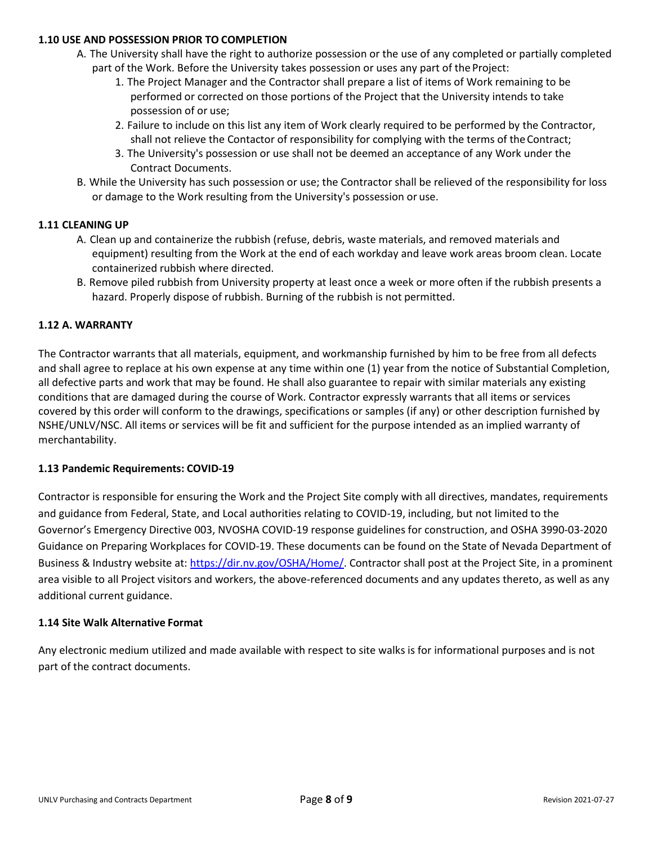## **1.10 USE AND POSSESSION PRIOR TO COMPLETION**

- A. The University shall have the right to authorize possession or the use of any completed or partially completed part of the Work. Before the University takes possession or uses any part of the Project:
	- 1. The Project Manager and the Contractor shall prepare a list of items of Work remaining to be performed or corrected on those portions of the Project that the University intends to take possession of or use;
	- 2. Failure to include on this list any item of Work clearly required to be performed by the Contractor, shall not relieve the Contactor of responsibility for complying with the terms of the Contract;
	- 3. The University's possession or use shall not be deemed an acceptance of any Work under the Contract Documents.
- B. While the University has such possession or use; the Contractor shall be relieved of the responsibility for loss or damage to the Work resulting from the University's possession or use.

## **1.11 CLEANING UP**

- A. Clean up and containerize the rubbish (refuse, debris, waste materials, and removed materials and equipment) resulting from the Work at the end of each workday and leave work areas broom clean. Locate containerized rubbish where directed.
- B. Remove piled rubbish from University property at least once a week or more often if the rubbish presents a hazard. Properly dispose of rubbish. Burning of the rubbish is not permitted.

## **1.12 A. WARRANTY**

The Contractor warrants that all materials, equipment, and workmanship furnished by him to be free from all defects and shall agree to replace at his own expense at any time within one (1) year from the notice of Substantial Completion, all defective parts and work that may be found. He shall also guarantee to repair with similar materials any existing conditions that are damaged during the course of Work. Contractor expressly warrants that all items or services covered by this order will conform to the drawings, specifications or samples (if any) or other description furnished by NSHE/UNLV/NSC. All items or services will be fit and sufficient for the purpose intended as an implied warranty of merchantability.

#### **1.13 Pandemic Requirements: COVID-19**

Contractor is responsible for ensuring the Work and the Project Site comply with all directives, mandates, requirements and guidance from Federal, State, and Local authorities relating to COVID-19, including, but not limited to the Governor's Emergency Directive 003, NVOSHA COVID-19 response guidelines for construction, and OSHA 3990-03-2020 Guidance on Preparing Workplaces for COVID-19. These documents can be found on the State of Nevada Department of Business & Industry website at: [https://dir.nv.gov/OSHA/Home/. C](https://dir.nv.gov/OSHA/Home/)ontractor shall post at the Project Site, in a prominent area visible to all Project visitors and workers, the above-referenced documents and any updates thereto, as well as any additional current guidance.

#### **1.14 Site Walk Alternative Format**

Any electronic medium utilized and made available with respect to site walks is for informational purposes and is not part of the contract documents.